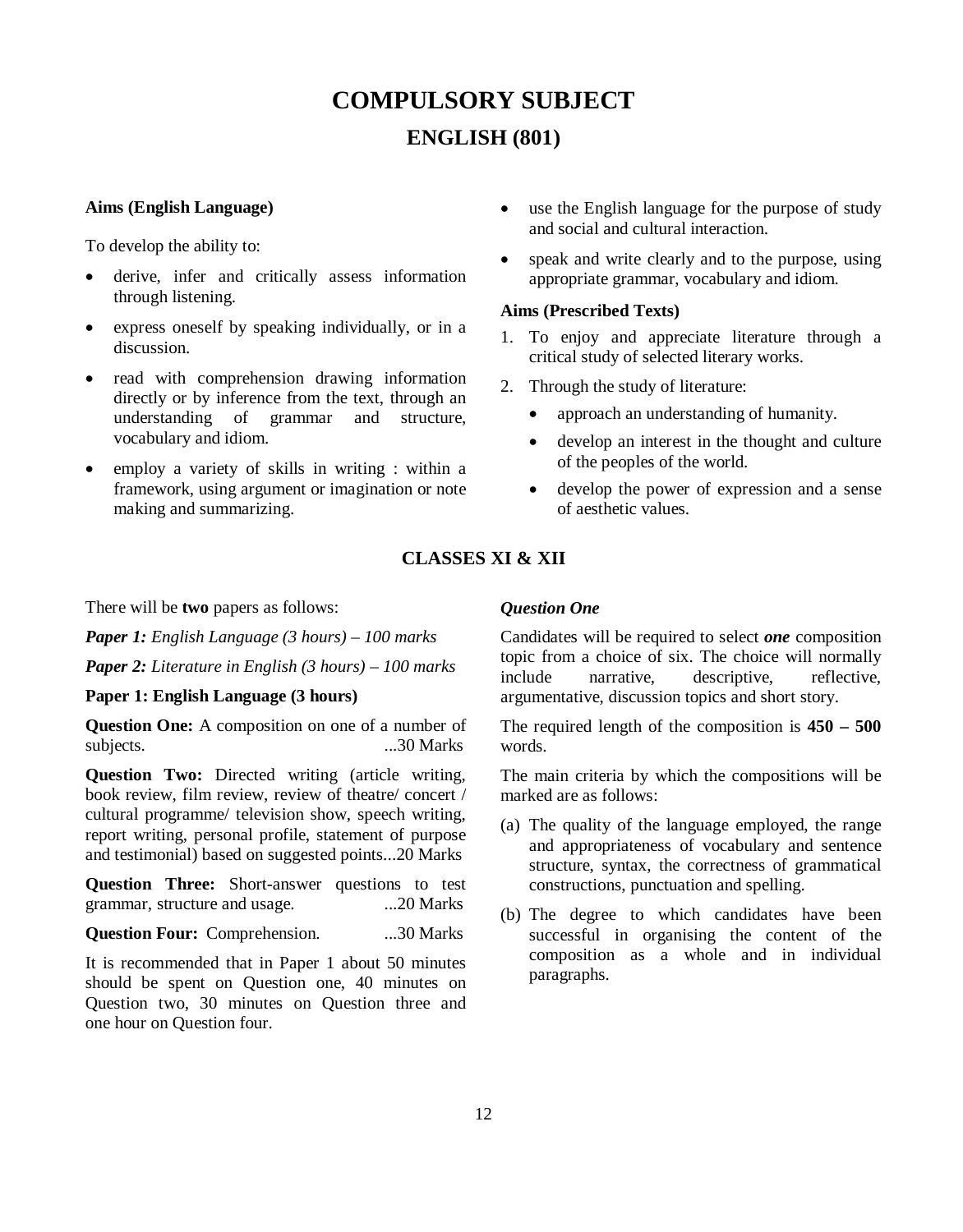# **COMPULSORY SUBJECT ENGLISH (801)**

### **Aims (English Language)**

To develop the ability to:

- derive, infer and critically assess information through listening.
- express oneself by speaking individually, or in a discussion.
- read with comprehension drawing information directly or by inference from the text, through an understanding of grammar and structure, vocabulary and idiom.
- employ a variety of skills in writing : within a framework, using argument or imagination or note making and summarizing.
- use the English language for the purpose of study and social and cultural interaction.
- speak and write clearly and to the purpose, using appropriate grammar, vocabulary and idiom.

## **Aims (Prescribed Texts)**

- 1. To enjoy and appreciate literature through a critical study of selected literary works.
- 2. Through the study of literature:
	- approach an understanding of humanity.
	- develop an interest in the thought and culture of the peoples of the world.
	- develop the power of expression and a sense of aesthetic values.

# **CLASSES XI & XII**

There will be **two** papers as follows:

*Paper 1: English Language (3 hours) – 100 marks Paper 2: Literature in English (3 hours) – 100 marks*

# **Paper 1: English Language (3 hours)**

**Question One:** A composition on one of a number of subjects. ...30 Marks

**Question Two:** Directed writing (article writing, book review, film review, review of theatre/ concert / cultural programme/ television show, speech writing, report writing, personal profile, statement of purpose and testimonial) based on suggested points...20 Marks

**Question Three:** Short-answer questions to test grammar, structure and usage. ...20 Marks

**Question Four:** Comprehension. ...30 Marks

It is recommended that in Paper 1 about 50 minutes should be spent on Question one, 40 minutes on Question two, 30 minutes on Question three and one hour on Question four.

# *Question One*

Candidates will be required to select *one* composition topic from a choice of six. The choice will normally include narrative, descriptive, reflective, argumentative, discussion topics and short story.

The required length of the composition is **450 – 500** words.

The main criteria by which the compositions will be marked are as follows:

- (a) The quality of the language employed, the range and appropriateness of vocabulary and sentence structure, syntax, the correctness of grammatical constructions, punctuation and spelling.
- (b) The degree to which candidates have been successful in organising the content of the composition as a whole and in individual paragraphs.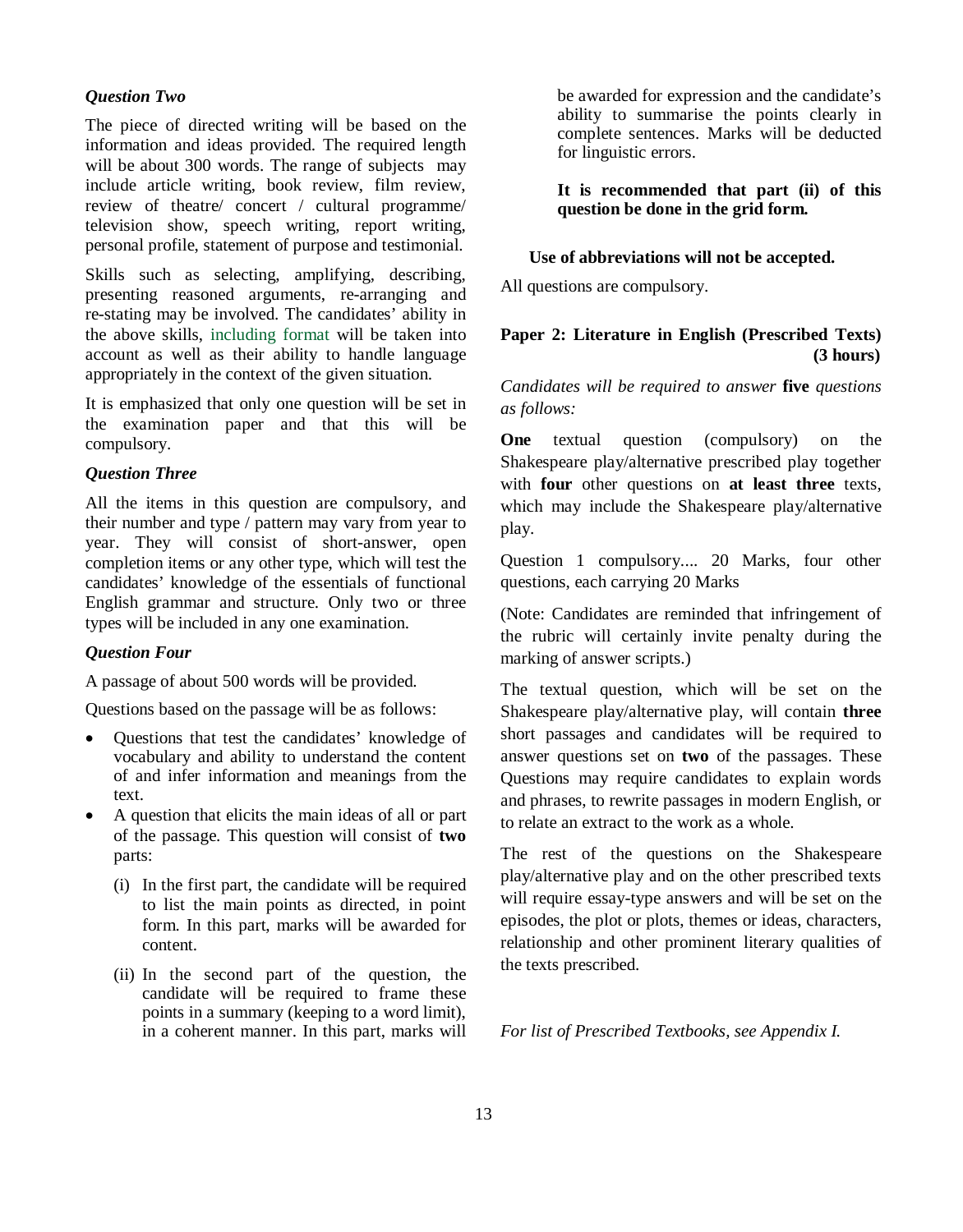### *Question Two*

The piece of directed writing will be based on the information and ideas provided. The required length will be about 300 words. The range of subjects may include article writing, book review, film review, review of theatre/ concert / cultural programme/ television show, speech writing, report writing, personal profile, statement of purpose and testimonial.

Skills such as selecting, amplifying, describing, presenting reasoned arguments, re-arranging and re-stating may be involved. The candidates' ability in the above skills, including format will be taken into account as well as their ability to handle language appropriately in the context of the given situation.

It is emphasized that only one question will be set in the examination paper and that this will be compulsory.

# *Question Three*

All the items in this question are compulsory, and their number and type / pattern may vary from year to year. They will consist of short-answer, open completion items or any other type, which will test the candidates' knowledge of the essentials of functional English grammar and structure. Only two or three types will be included in any one examination.

#### *Question Four*

A passage of about 500 words will be provided.

Questions based on the passage will be as follows:

- Questions that test the candidates' knowledge of vocabulary and ability to understand the content of and infer information and meanings from the text.
- A question that elicits the main ideas of all or part of the passage. This question will consist of **two** parts:
	- (i) In the first part, the candidate will be required to list the main points as directed, in point form. In this part, marks will be awarded for content.
	- (ii) In the second part of the question, the candidate will be required to frame these points in a summary (keeping to a word limit), in a coherent manner. In this part, marks will

be awarded for expression and the candidate's ability to summarise the points clearly in complete sentences. Marks will be deducted for linguistic errors.

**It is recommended that part (ii) of this question be done in the grid form.**

# **Use of abbreviations will not be accepted.**

All questions are compulsory.

# **Paper 2: Literature in English (Prescribed Texts) (3 hours)**

*Candidates will be required to answer* **five** *questions as follows:*

**One** textual question (compulsory) on the Shakespeare play/alternative prescribed play together with **four** other questions on **at least three** texts, which may include the Shakespeare play/alternative play.

Question 1 compulsory.... 20 Marks, four other questions, each carrying 20 Marks

(Note: Candidates are reminded that infringement of the rubric will certainly invite penalty during the marking of answer scripts.)

The textual question, which will be set on the Shakespeare play/alternative play, will contain **three** short passages and candidates will be required to answer questions set on **two** of the passages. These Questions may require candidates to explain words and phrases, to rewrite passages in modern English, or to relate an extract to the work as a whole.

The rest of the questions on the Shakespeare play/alternative play and on the other prescribed texts will require essay-type answers and will be set on the episodes, the plot or plots, themes or ideas, characters, relationship and other prominent literary qualities of the texts prescribed.

*For list of Prescribed Textbooks, see Appendix I.*